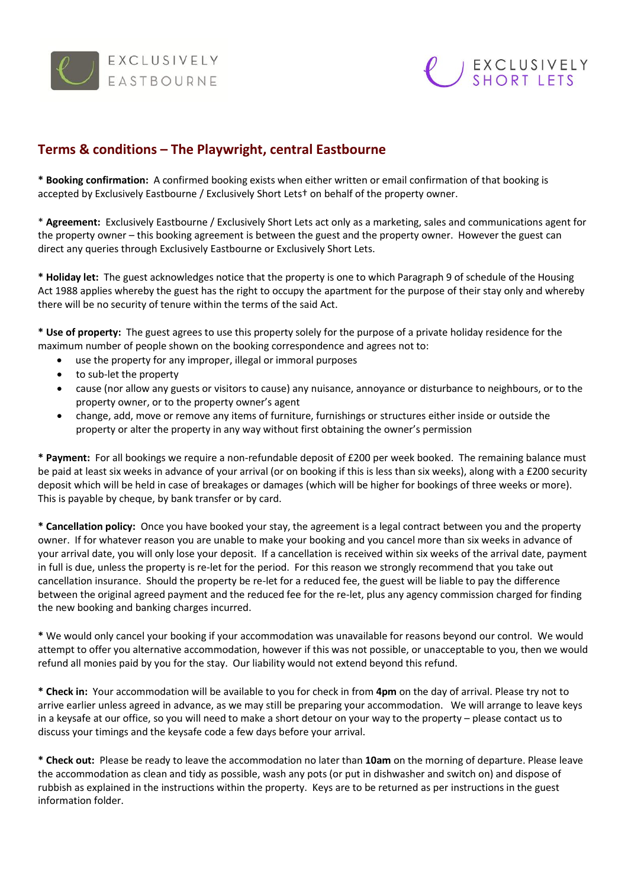



## **Terms & conditions – The Playwright, central Eastbourne**

**\* Booking confirmation:** A confirmed booking exists when either written or email confirmation of that booking is accepted by Exclusively Eastbourne / Exclusively Short Lets† on behalf of the property owner.

\* **Agreement:** Exclusively Eastbourne / Exclusively Short Lets act only as a marketing, sales and communications agent for the property owner – this booking agreement is between the guest and the property owner. However the guest can direct any queries through Exclusively Eastbourne or Exclusively Short Lets.

**\* Holiday let:** The guest acknowledges notice that the property is one to which Paragraph 9 of schedule of the Housing Act 1988 applies whereby the guest has the right to occupy the apartment for the purpose of their stay only and whereby there will be no security of tenure within the terms of the said Act.

**\* Use of property:** The guest agrees to use this property solely for the purpose of a private holiday residence for the maximum number of people shown on the booking correspondence and agrees not to:

- use the property for any improper, illegal or immoral purposes
- to sub-let the property
- cause (nor allow any guests or visitors to cause) any nuisance, annoyance or disturbance to neighbours, or to the property owner, or to the property owner's agent
- change, add, move or remove any items of furniture, furnishings or structures either inside or outside the property or alter the property in any way without first obtaining the owner's permission

**\* Payment:** For all bookings we require a non-refundable deposit of £200 per week booked. The remaining balance must be paid at least six weeks in advance of your arrival (or on booking if this is less than six weeks), along with a £200 security deposit which will be held in case of breakages or damages (which will be higher for bookings of three weeks or more). This is payable by cheque, by bank transfer or by card.

**\* Cancellation policy:** Once you have booked your stay, the agreement is a legal contract between you and the property owner. If for whatever reason you are unable to make your booking and you cancel more than six weeks in advance of your arrival date, you will only lose your deposit. If a cancellation is received within six weeks of the arrival date, payment in full is due, unless the property is re-let for the period. For this reason we strongly recommend that you take out cancellation insurance. Should the property be re-let for a reduced fee, the guest will be liable to pay the difference between the original agreed payment and the reduced fee for the re-let, plus any agency commission charged for finding the new booking and banking charges incurred.

**\*** We would only cancel your booking if your accommodation was unavailable for reasons beyond our control. We would attempt to offer you alternative accommodation, however if this was not possible, or unacceptable to you, then we would refund all monies paid by you for the stay. Our liability would not extend beyond this refund.

**\* Check in:** Your accommodation will be available to you for check in from **4pm** on the day of arrival. Please try not to arrive earlier unless agreed in advance, as we may still be preparing your accommodation. We will arrange to leave keys in a keysafe at our office, so you will need to make a short detour on your way to the property – please contact us to discuss your timings and the keysafe code a few days before your arrival.

**\* Check out:** Please be ready to leave the accommodation no later than **10am** on the morning of departure. Please leave the accommodation as clean and tidy as possible, wash any pots (or put in dishwasher and switch on) and dispose of rubbish as explained in the instructions within the property. Keys are to be returned as per instructions in the guest information folder.